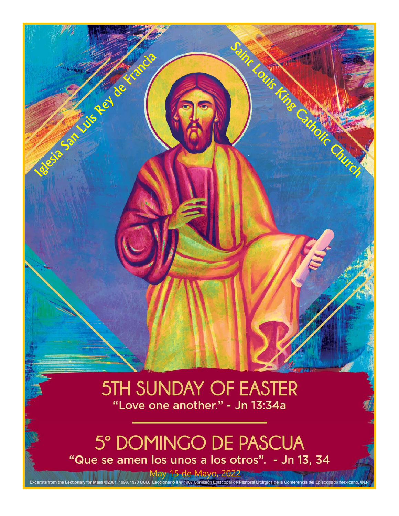# **5TH SUNDAY OF EASTER** "Love one another." - Jn 13:34a

Louis Fin

Catholic

Second Contract of Contract of Contract of Contract of Contract of Contract of Contract of Contract of Contract of

# 5° DOMINGO DE PASCUA "Que se amen los unos a los otros". - Jn 13, 34

May 15 de Mayo, 2022<br>Excerpts from the Lectionary for Mass ©2001, 1998, 1970 CCD. Leccionario II © 1987 Comisión Episcopal de Pastoral Litúrgica de la Conferencia del Episcopado Mexicano. © Pi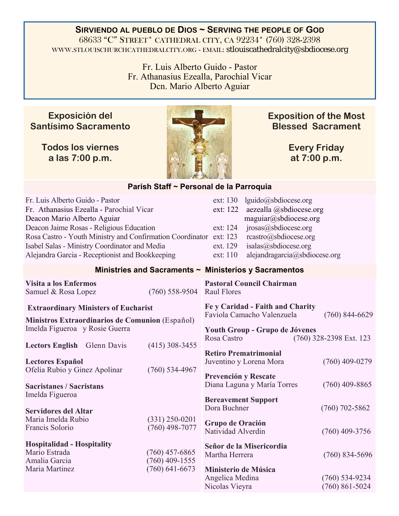#### **SIRVIENDO AL PUEBLO DE DIOS ~ SERVING THE PEOPLE OF GOD** 68633 "C" STREET\* CATHEDRAL CITY, CA 92234\* (760) 328-2398 WWW.STLOUISCHURCHCATHEDRALCITY.ORG - EMAIL: stlouiscathedralcity@sbdiocese.org

Fr. Luis Alberto Guido - Pastor Fr. Athanasius Ezealla, Parochial Vicar Dcn. Mario Alberto Aguiar

### **Exposición del Santísimo Sacramento**

**Todos los viernes a las 7:00 p.m.** 



**Exposition of the Most Blessed Sacrament** 

> **Every Friday at 7:00 p.m.**

#### **Parish Staff ~ Personal de la Parroquia**

| Fr. Luis Alberto Guido - Pastor<br>Fr. Athanasius Ezealla - Parochial Vicar<br>Deacon Mario Alberto Aguiar<br>Deacon Jaime Rosas - Religious Education<br>Rosa Castro - Youth Ministry and Confirmation Coordinator ext: 123<br>Isabel Salas - Ministry Coordinator and Media |                                                          | ext: 130<br>lguido@sbdiocese.org<br>ext: 122<br>aezealla @sbdiocese.org<br>maguiar@sbdiocese.org<br>jrosas@sbdiocese.org<br>ext: 124<br>rcastro@sbdiocese.org<br>isalas@sbdiocese.org<br>ext. 129 |                                               |
|-------------------------------------------------------------------------------------------------------------------------------------------------------------------------------------------------------------------------------------------------------------------------------|----------------------------------------------------------|---------------------------------------------------------------------------------------------------------------------------------------------------------------------------------------------------|-----------------------------------------------|
| Alejandra Garcia - Receptionist and Bookkeeping                                                                                                                                                                                                                               |                                                          | ext: 110<br>alejandragarcia@sbdiocese.org                                                                                                                                                         |                                               |
|                                                                                                                                                                                                                                                                               |                                                          | Ministries and Sacraments ~ Ministerios y Sacramentos                                                                                                                                             |                                               |
| Visita a los Enfermos<br>Samuel & Rosa Lopez                                                                                                                                                                                                                                  | $(760)$ 558-9504                                         | <b>Pastoral Council Chairman</b><br><b>Raul Flores</b>                                                                                                                                            |                                               |
| <b>Extraordinary Ministers of Eucharist</b><br>Ministros Extraordinarios de Comunion (Español)<br>Imelda Figueroa y Rosie Guerra                                                                                                                                              |                                                          | Fe y Caridad - Faith and Charity<br>Faviola Camacho Valenzuela<br>Youth Group - Grupo de Jóvenes<br>Rosa Castro                                                                                   | $(760)$ 844-6629<br>$(760)$ 328-2398 Ext. 123 |
| Lectors English Glenn Davis<br><b>Lectores Español</b><br>Ofelia Rubio y Ginez Apolinar                                                                                                                                                                                       | $(415)$ 308-3455<br>$(760)$ 534-4967                     | <b>Retiro Prematrimonial</b><br>Juventino y Lorena Mora                                                                                                                                           | $(760)$ 409-0279                              |
| <b>Sacristanes / Sacristans</b><br>Imelda Figueroa<br><b>Servidores del Altar</b>                                                                                                                                                                                             |                                                          | Prevención y Rescate<br>Diana Laguna y María Torres<br><b>Bereavement Support</b><br>Dora Buchner                                                                                                 | $(760)$ 409-8865<br>$(760)$ 702-5862          |
| Maria Imelda Rubio<br>Francis Solorio                                                                                                                                                                                                                                         | $(331)$ 250-0201<br>$(760)$ 498-7077                     | Grupo de Oración<br>Natividad Alverdin                                                                                                                                                            | $(760)$ 409-3756                              |
| <b>Hospitalidad - Hospitality</b><br>Mario Estrada<br>Amalia Garcia<br>Maria Martinez                                                                                                                                                                                         | $(760)$ 457-6865<br>$(760)$ 409-1555<br>$(760)$ 641-6673 | Señor de la Misericordia<br>Martha Herrera<br>Ministerio de Música                                                                                                                                | $(760)$ 834-5696                              |
|                                                                                                                                                                                                                                                                               |                                                          | Angelica Medina<br>Nicolas Vieyra                                                                                                                                                                 | $(760) 534-9234$<br>$(760) 861 - 5024$        |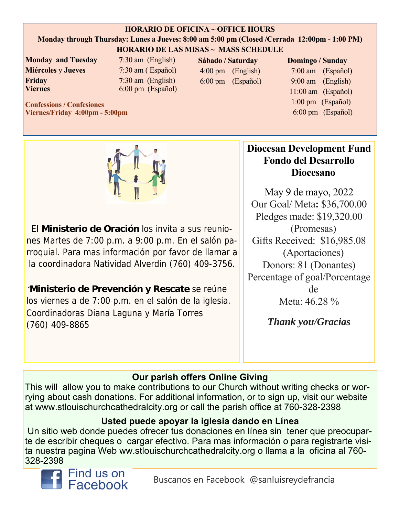#### **HORARIO DE OFICINA ~ OFFICE HOURS**

#### **Monday through Thursday: Lunes a Jueves: 8:00 am 5:00 pm (Closed /Cerrada 12:00pm - 1:00 PM) HORARIO DE LAS MISAS ~ MASS SCHEDULE**

**Monday and Tuesday 7**:30 am (English) **Miércoles** y **Jueves** 7:30 am ( Español) **Friday** 7:30 am (English) **Viernes** 6:00 pm (Español)

**Sábado / Saturday**  4:00 pm (English) 6:00 pm (Español)

#### **Domingo / Sunday**

 7:00 am (Español) 9:00 am (English) 11:00 am (Español) 1:00 pm (Español) 6:00 pm (Español)

**Confessions / Confesiones Viernes/Friday 4:00pm - 5:00pm** 



El **Ministerio de Oración** los invita a sus reuniones Martes de 7:00 p.m. a 9:00 p.m. En el salón parroquial. Para mas información por favor de llamar a la coordinadora Natividad Alverdin (760) 409-3756.

"**Ministerio de Prevención y Rescate** se reúne los viernes a de 7:00 p.m. en el salón de la iglesia. Coordinadoras Diana Laguna y María Torres (760) 409-8865

# **Diocesan Development Fund Fondo del Desarrollo Diocesano**

May 9 de mayo, 2022 Our Goal/ Meta**:** \$36,700.00 Pledges made: \$19,320.00 (Promesas) Gifts Received: \$16,985.08 (Aportaciones) Donors: 81 (Donantes) Percentage of goal/Porcentage de Meta: 46.28 %

*Thank you/Gracias* 

# **Our parish offers Online Giving**

This will allow you to make contributions to our Church without writing checks or worrying about cash donations. For additional information, or to sign up, visit our website at www.stlouischurchcathedralcity.org or call the parish office at 760-328-2398

## **Usted puede apoyar la iglesia dando en Línea**

 Un sitio web donde puedes ofrecer tus donaciones en línea sin tener que preocuparte de escribir cheques o cargar efectivo. Para mas información o para registrarte visita nuestra pagina Web ww.stlouischurchcathedralcity.org o llama a la oficina al 760- 328-2398

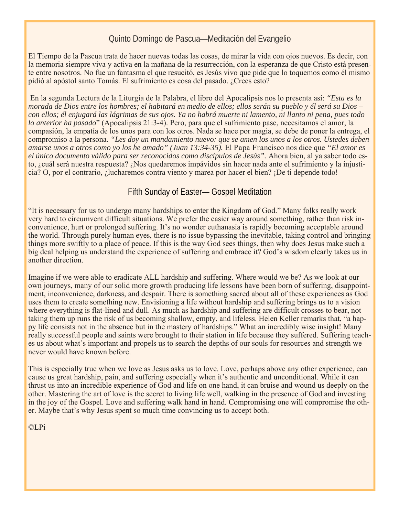#### Quinto Domingo de Pascua—Meditación del Evangelio

El Tiempo de la Pascua trata de hacer nuevas todas las cosas, de mirar la vida con ojos nuevos. Es decir, con la memoria siempre viva y activa en la mañana de la resurrección, con la esperanza de que Cristo está presente entre nosotros. No fue un fantasma el que resucitó, es Jesús vivo que pide que lo toquemos como él mismo pidió al apóstol santo Tomás. El sufrimiento es cosa del pasado. ¿Crees esto?

 En la segunda Lectura de la Liturgia de la Palabra, el libro del Apocalipsis nos lo presenta así: *"Esta es la morada de Dios entre los hombres; el habitará en medio de ellos; ellos serán su pueblo y él será su Dios – con ellos; él enjugará las lágrimas de sus ojos. Ya no habrá muerte ni lamento, ni llanto ni pena, pues todo lo anterior ha pasado*" (Apocalipsis 21:3-4). Pero, para que el sufrimiento pase, necesitamos el amor, la compasión, la empatía de los unos para con los otros. Nada se hace por magia, se debe de poner la entrega, el compromiso a la persona. *"Les doy un mandamiento nuevo: que se amen los unos a los otros. Ustedes deben amarse unos a otros como yo los he amado" (Juan 13:34-35).* El Papa Francisco nos dice que *"El amor es el único documento válido para ser reconocidos como discípulos de Jesús".* Ahora bien, al ya saber todo esto, ¿cuál será nuestra respuesta? ¿Nos quedaremos impávidos sin hacer nada ante el sufrimiento y la injusticia? O, por el contrario, ¿lucharemos contra viento y marea por hacer el bien? ¡De ti depende todo!

#### Fifth Sunday of Easter— Gospel Meditation

"It is necessary for us to undergo many hardships to enter the Kingdom of God." Many folks really work very hard to circumvent difficult situations. We prefer the easier way around something, rather than risk inconvenience, hurt or prolonged suffering. It's no wonder euthanasia is rapidly becoming acceptable around the world. Through purely human eyes, there is no issue bypassing the inevitable, taking control and bringing things more swiftly to a place of peace. If this is the way God sees things, then why does Jesus make such a big deal helping us understand the experience of suffering and embrace it? God's wisdom clearly takes us in another direction.

Imagine if we were able to eradicate ALL hardship and suffering. Where would we be? As we look at our own journeys, many of our solid more growth producing life lessons have been born of suffering, disappointment, inconvenience, darkness, and despair. There is something sacred about all of these experiences as God uses them to create something new. Envisioning a life without hardship and suffering brings us to a vision where everything is flat-lined and dull. As much as hardship and suffering are difficult crosses to bear, not taking them up runs the risk of us becoming shallow, empty, and lifeless. Helen Keller remarks that, "a happy life consists not in the absence but in the mastery of hardships." What an incredibly wise insight! Many really successful people and saints were brought to their station in life because they suffered. Suffering teaches us about what's important and propels us to search the depths of our souls for resources and strength we never would have known before.

This is especially true when we love as Jesus asks us to love. Love, perhaps above any other experience, can cause us great hardship, pain, and suffering especially when it's authentic and unconditional. While it can thrust us into an incredible experience of God and life on one hand, it can bruise and wound us deeply on the other. Mastering the art of love is the secret to living life well, walking in the presence of God and investing in the joy of the Gospel. Love and suffering walk hand in hand. Compromising one will compromise the other. Maybe that's why Jesus spent so much time convincing us to accept both.

©LPi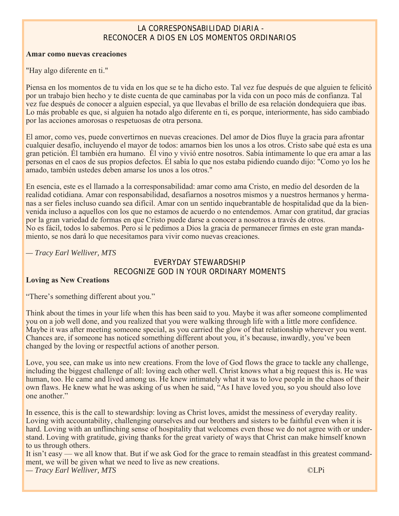#### LA CORRESPONSABILIDAD DIARIA - RECONOCER A DIOS EN LOS MOMENTOS ORDINARIOS

#### **Amar como nuevas creaciones**

"Hay algo diferente en ti."

Piensa en los momentos de tu vida en los que se te ha dicho esto. Tal vez fue después de que alguien te felicitó por un trabajo bien hecho y te diste cuenta de que caminabas por la vida con un poco más de confianza. Tal vez fue después de conocer a alguien especial, ya que llevabas el brillo de esa relación dondequiera que ibas. Lo más probable es que, si alguien ha notado algo diferente en ti, es porque, interiormente, has sido cambiado por las acciones amorosas o respetuosas de otra persona.

El amor, como ves, puede convertirnos en nuevas creaciones. Del amor de Dios fluye la gracia para afrontar cualquier desafío, incluyendo el mayor de todos: amarnos bien los unos a los otros. Cristo sabe qué esta es una gran petición. Él también era humano. Él vino y vivió entre nosotros. Sabía íntimamente lo que era amar a las personas en el caos de sus propios defectos. Él sabía lo que nos estaba pidiendo cuando dijo: "Como yo los he amado, también ustedes deben amarse los unos a los otros."

En esencia, este es el llamado a la corresponsabilidad: amar como ama Cristo, en medio del desorden de la realidad cotidiana. Amar con responsabilidad, desafiarnos a nosotros mismos y a nuestros hermanos y hermanas a ser fieles incluso cuando sea difícil. Amar con un sentido inquebrantable de hospitalidad que da la bienvenida incluso a aquellos con los que no estamos de acuerdo o no entendemos. Amar con gratitud, dar gracias por la gran variedad de formas en que Cristo puede darse a conocer a nosotros a través de otros. No es fácil, todos lo sabemos. Pero si le pedimos a Dios la gracia de permanecer firmes en este gran mandamiento, se nos dará lo que necesitamos para vivir como nuevas creaciones.

*— Tracy Earl Welliver, MTS* 

#### EVERYDAY STEWARDSHIP RECOGNIZE GOD IN YOUR ORDINARY MOMENTS

#### **Loving as New Creations**

"There's something different about you."

Think about the times in your life when this has been said to you. Maybe it was after someone complimented you on a job well done, and you realized that you were walking through life with a little more confidence. Maybe it was after meeting someone special, as you carried the glow of that relationship wherever you went. Chances are, if someone has noticed something different about you, it's because, inwardly, you've been changed by the loving or respectful actions of another person.

Love, you see, can make us into new creations. From the love of God flows the grace to tackle any challenge, including the biggest challenge of all: loving each other well. Christ knows what a big request this is. He was human, too. He came and lived among us. He knew intimately what it was to love people in the chaos of their own flaws. He knew what he was asking of us when he said, "As I have loved you, so you should also love one another."

In essence, this is the call to stewardship: loving as Christ loves, amidst the messiness of everyday reality. Loving with accountability, challenging ourselves and our brothers and sisters to be faithful even when it is hard. Loving with an unflinching sense of hospitality that welcomes even those we do not agree with or understand. Loving with gratitude, giving thanks for the great variety of ways that Christ can make himself known to us through others.

It isn't easy — we all know that. But if we ask God for the grace to remain steadfast in this greatest commandment, we will be given what we need to live as new creations.

*— Tracy Earl Welliver, MTS* ©LPi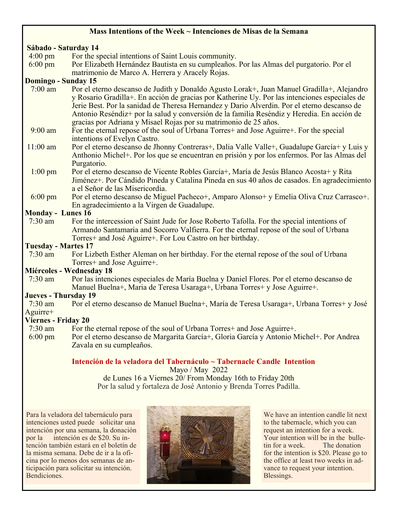#### **Mass Intentions of the Week ~ Intenciones de Misas de la Semana**

# **Sábado - Saturday 14**

- 4:00 pm For the special intentions of Saint Louis community.
- 6:00 pm Por Elizabeth Hernández Bautista en su cumpleaños. Por las Almas del purgatorio. Por el matrimonio de Marco A. Herrera y Aracely Rojas.

#### **Domingo - Sunday 15**

- 7:00 am Por el eterno descanso de Judith y Donaldo Agusto Lorak+, Juan Manuel Gradilla+, Alejandro y Rosario Gradilla+. En acción de gracias por Katherine Uy. Por las intenciones especiales de Jerie Best. Por la sanidad de Theresa Hernandez y Dario Alverdin. Por el eterno descanso de Antonio Reséndiz+ por la salud y conversión de la familia Reséndiz y Heredia. En acción de gracias por Adriana y Misael Rojas por su matrimonio de 25 años.<br>9:00 am For the eternal repose of the soul of Urbana Torres+ and Jose Agui
- 9:00 am For the eternal repose of the soul of Urbana Torres+ and Jose Aguirre+. For the special intentions of Evelyn Castro.
- 11:00 am Por el eterno descanso de Jhonny Contreras+, Dalia Valle Valle+, Guadalupe García+ y Luis y Anthonio Michel+. Por los que se encuentran en prisión y por los enfermos. Por las Almas del Purgatorio.
- 1:00 pm Por el eterno descanso de Vicente Robles García+, María de Jesús Blanco Acosta+ y Rita Jiménez+. Por Cándido Pineda y Catalina Pineda en sus 40 años de casados. En agradecimiento a el Señor de las Misericordia.
- 6:00 pm Por el eterno descanso de Miguel Pacheco+, Amparo Alonso+ y Emelia Oliva Cruz Carrasco+. En agradecimiento a la Virgen de Guadalupe.

#### **Monday - Lunes 16**

 7:30 am For the intercession of Saint Jude for Jose Roberto Tafolla. For the special intentions of Armando Santamaria and Socorro Valfierra. For the eternal repose of the soul of Urbana Torres+ and José Aguirre+. For Lou Castro on her birthday.

#### **Tuesday - Martes 17**

 7:30 am For Lizbeth Esther Aleman on her birthday. For the eternal repose of the soul of Urbana Torres+ and Jose Aguirre+.

#### **Miércoles - Wednesday 18**

 7:30 am Por las intenciones especiales de María Buelna y Daniel Flores. Por el eterno descanso de Manuel Buelna+, Maria de Teresa Usaraga+, Urbana Torres+ y Jose Aguirre+.

#### **Jueves - Thursday 19**

 7:30 am Por el eterno descanso de Manuel Buelna+, María de Teresa Usaraga+, Urbana Torres+ y José Aguirre+

#### **Viernes - Friday 20**

- 7:30 am For the eternal repose of the soul of Urbana Torres+ and Jose Aguirre+.
- 6:00 pm Por el eterno descanso de Margarita García+, Gloria García y Antonio Michel+. Por Andrea Zavala en su cumpleaños.

#### **Intención de la veladora del Tabernáculo ~ Tabernacle Candle Intention**

Mayo / May 2022 de Lunes 16 a Viernes 20/ From Monday 16th to Friday 20th Por la salud y fortaleza de José Antonio y Brenda Torres Padilla.

Para la veladora del tabernáculo para intenciones usted puede solicitar una intención por una semana, la donación por la intención es de \$20. Su intención también estará en el boletín de la misma semana. Debe de ir a la oficina por lo menos dos semanas de anticipación para solicitar su intención. Bendiciones.



We have an intention candle lit next to the tabernacle, which you can request an intention for a week. Your intention will be in the bulletin for a week. The donation for the intention is \$20. Please go to the office at least two weeks in advance to request your intention. Blessings.